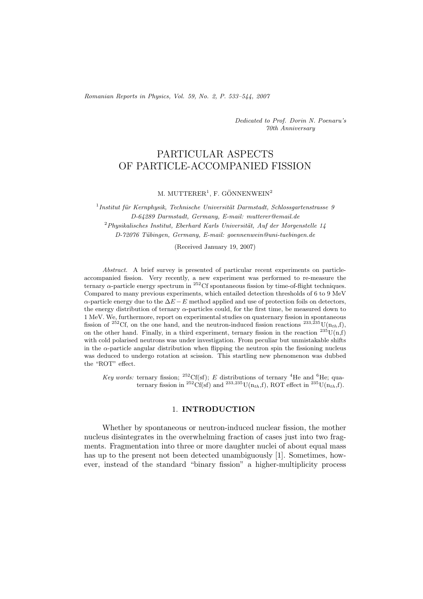*Romanian Reports in Physics, Vol. 59, No. 2, P. 533–544, 2007*

*Dedicated to Prof. Dorin N. Poenaru's 70th Anniversary*

# PARTICULAR ASPECTS OF PARTICLE-ACCOMPANIED FISSION

M. MUTTERER<sup>1</sup>, F. GÖNNENWEIN<sup>2</sup>

<sup>1</sup> Institut für Kernphysik, Technische Universität Darmstadt, Schlossgartenstrasse 9 *D-64289 Darmstadt, Germany, E-mail: mutterer@email.de* <sup>2</sup>Physikalisches Institut, Eberhard Karls Universität, Auf der Morgenstelle 14 *D-72076 T¨ubingen, Germany, E-mail: goennenwein@uni-tuebingen.de*

(Received January 19, 2007)

*Abstract.* A brief survey is presented of particular recent experiments on particleaccompanied fission. Very recently, a new experiment was performed to re-measure the ternary  $\alpha$ -particle energy spectrum in <sup>252</sup>Cf spontaneous fission by time-of-flight techniques. Compared to many previous experiments, which entailed detection thresholds of 6 to 9 MeV  $\alpha$ -particle energy due to the  $\Delta E - E$  method applied and use of protection foils on detectors, the energy distribution of ternary α-particles could, for the first time, be measured down to 1 MeV. We, furthermore, report on experimental studies on quaternary fission in spontaneous fission of <sup>252</sup>Cf, on the one hand, and the neutron-induced fission reactions <sup>233,235</sup>U(n<sub>th</sub>,f), on the other hand. Finally, in a third experiment, ternary fission in the reaction  $^{235}U(n,f)$ with cold polarised neutrons was under investigation. From peculiar but unmistakable shifts in the  $\alpha$ -particle angular distribution when flipping the neutron spin the fissioning nucleus was deduced to undergo rotation at scission. This startling new phenomenon was dubbed the "ROT" effect.

*Key words:* ternary fission; <sup>252</sup>Cf(sf); *E* distributions of ternary <sup>4</sup>He and <sup>6</sup>He; quaternary fission in <sup>252</sup>Cf(sf) and <sup>233,235</sup>U(n<sub>th</sub>,f), ROT effect in <sup>235</sup>U(n<sub>th</sub>,f).

### 1. **INTRODUCTION**

Whether by spontaneous or neutron-induced nuclear fission, the mother nucleus disintegrates in the overwhelming fraction of cases just into two fragments. Fragmentation into three or more daughter nuclei of about equal mass has up to the present not been detected unambiguously [1]. Sometimes, however, instead of the standard "binary fission" a higher-multiplicity process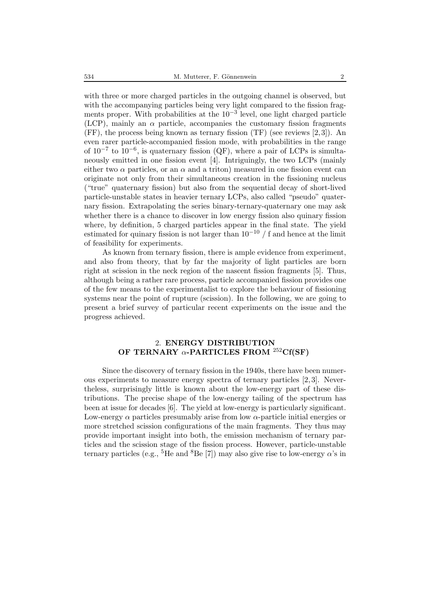with three or more charged particles in the outgoing channel is observed, but with the accompanying particles being very light compared to the fission fragments proper. With probabilities at the  $10^{-3}$  level, one light charged particle (LCP), mainly an  $\alpha$  particle, accompanies the customary fission fragments (FF), the process being known as ternary fission (TF) (see reviews [2, 3]). An even rarer particle-accompanied fission mode, with probabilities in the range of  $10^{-7}$  to  $10^{-6}$ , is quaternary fission (QF), where a pair of LCPs is simultaneously emitted in one fission event [4]. Intriguingly, the two LCPs (mainly either two  $\alpha$  particles, or an  $\alpha$  and a triton) measured in one fission event can originate not only from their simultaneous creation in the fissioning nucleus ("true" quaternary fission) but also from the sequential decay of short-lived particle-unstable states in heavier ternary LCPs, also called "pseudo" quaternary fission. Extrapolating the series binary-ternary-quaternary one may ask whether there is a chance to discover in low energy fission also quinary fission where, by definition, 5 charged particles appear in the final state. The yield estimated for quinary fission is not larger than  $10^{-10}$  / f and hence at the limit of feasibility for experiments.

As known from ternary fission, there is ample evidence from experiment, and also from theory, that by far the majority of light particles are born right at scission in the neck region of the nascent fission fragments [5]. Thus, although being a rather rare process, particle accompanied fission provides one of the few means to the experimentalist to explore the behaviour of fissioning systems near the point of rupture (scission). In the following, we are going to present a brief survey of particular recent experiments on the issue and the progress achieved.

## 2. **ENERGY DISTRIBUTION OF TERNARY** α**-PARTICLES FROM** <sup>252</sup>**Cf(SF)**

Since the discovery of ternary fission in the 1940s, there have been numerous experiments to measure energy spectra of ternary particles [2, 3]. Nevertheless, surprisingly little is known about the low-energy part of these distributions. The precise shape of the low-energy tailing of the spectrum has been at issue for decades [6]. The yield at low-energy is particularly significant. Low-energy  $\alpha$  particles presumably arise from low  $\alpha$ -particle initial energies or more stretched scission configurations of the main fragments. They thus may provide important insight into both, the emission mechanism of ternary particles and the scission stage of the fission process. However, particle-unstable ternary particles (e.g., <sup>5</sup>He and <sup>8</sup>Be [7]) may also give rise to low-energy  $\alpha$ 's in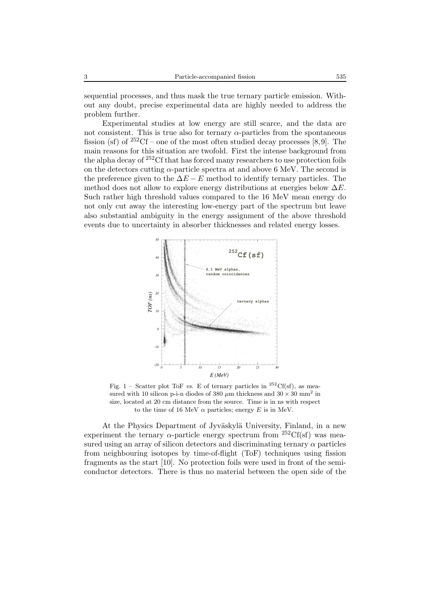sequential processes, and thus mask the true ternary particle emission. Without any doubt, precise experimental data are highly needed to address the problem further.

Experimental studies at low energy are still scarce, and the data are not consistent. This is true also for ternary  $\alpha$ -particles from the spontaneous fission (sf) of  $252<sup>252</sup>Cf$  – one of the most often studied decay processes [8,9]. The main reasons for this situation are twofold. First the intense background from the alpha decay of <sup>252</sup>Cf that has forced many researchers to use protection foils on the detectors cutting  $\alpha$ -particle spectra at and above 6 MeV. The second is the preference given to the  $\Delta E - E$  method to identify ternary particles. The method does not allow to explore energy distributions at energies below  $\Delta E$ . Such rather high threshold values compared to the 16 MeV mean energy do not only cut away the interesting low-energy part of the spectrum but leave also substantial ambiguity in the energy assignment of the above threshold events due to uncertainty in absorber thicknesses and related energy losses.



Fig. 1 – Scatter plot ToF *vs*. E of ternary particles in <sup>252</sup>Cf(sf), as measured with 10 silicon p-i-n diodes of 380  $\mu$ m thickness and 30  $\times$  30 mm<sup>2</sup> in size, located at 20 cm distance from the source. Time is in ns with respect to the time of 16 MeV  $\alpha$  particles; energy E is in MeV.

At the Physics Department of Jyväskylä University, Finland, in a new experiment the ternary  $\alpha$ -particle energy spectrum from <sup>252</sup>Cf(sf) was measured using an array of silicon detectors and discriminating ternary  $\alpha$  particles from neighbouring isotopes by time-of-flight (ToF) techniques using fission fragments as the start [10]. No protection foils were used in front of the semiconductor detectors. There is thus no material between the open side of the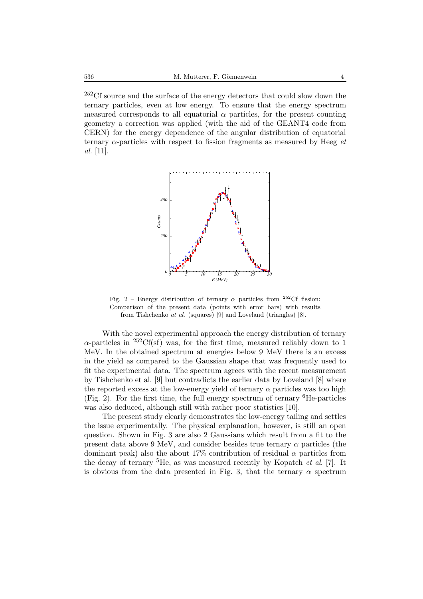<sup>252</sup>Cf source and the surface of the energy detectors that could slow down the ternary particles, even at low energy. To ensure that the energy spectrum measured corresponds to all equatorial  $\alpha$  particles, for the present counting geometry a correction was applied (with the aid of the GEANT4 code from CERN) for the energy dependence of the angular distribution of equatorial ternary α-particles with respect to fission fragments as measured by Heeg *et al*. [11].



Fig. 2 – Energy distribution of ternary  $\alpha$  particles from <sup>252</sup>Cf fission: Comparison of the present data (points with error bars) with results from Tishchenko *at al*. (squares) [9] and Loveland (triangles) [8].

With the novel experimental approach the energy distribution of ternary  $\alpha$ -particles in <sup>252</sup>Cf(sf) was, for the first time, measured reliably down to 1 MeV. In the obtained spectrum at energies below 9 MeV there is an excess in the yield as compared to the Gaussian shape that was frequently used to fit the experimental data. The spectrum agrees with the recent measurement by Tishchenko et al. [9] but contradicts the earlier data by Loveland [8] where the reported excess at the low-energy yield of ternary  $\alpha$  particles was too high (Fig. 2). For the first time, the full energy spectrum of ternary <sup>6</sup>He-particles was also deduced, although still with rather poor statistics [10].

The present study clearly demonstrates the low-energy tailing and settles the issue experimentally. The physical explanation, however, is still an open question. Shown in Fig. 3 are also 2 Gaussians which result from a fit to the present data above 9 MeV, and consider besides true ternary  $\alpha$  particles (the dominant peak) also the about 17% contribution of residual  $\alpha$  particles from the decay of ternary <sup>5</sup>He, as was measured recently by Kopatch *et al*. [7]. It is obvious from the data presented in Fig. 3, that the ternary  $\alpha$  spectrum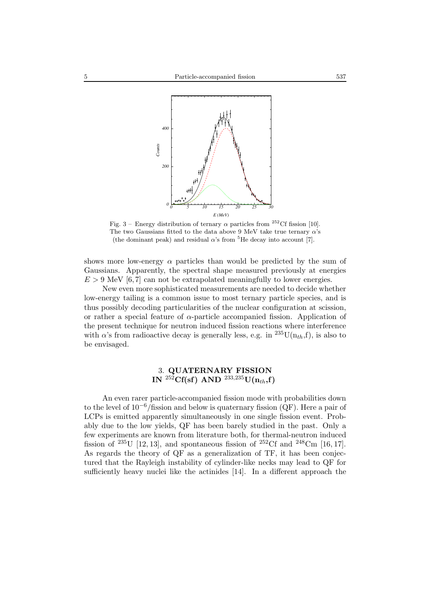

Fig. 3 – Energy distribution of ternary  $\alpha$  particles from <sup>252</sup>Cf fission [10]. The two Gaussians fitted to the data above 9 MeV take true ternary  $\alpha$ 's (the dominant peak) and residual  $\alpha$ 's from <sup>5</sup>He decay into account [7].

shows more low-energy  $\alpha$  particles than would be predicted by the sum of Gaussians. Apparently, the spectral shape measured previously at energies  $E > 9$  MeV [6,7] can not be extrapolated meaningfully to lower energies.

New even more sophisticated measurements are needed to decide whether low-energy tailing is a common issue to most ternary particle species, and is thus possibly decoding particularities of the nuclear configuration at scission, or rather a special feature of  $\alpha$ -particle accompanied fission. Application of the present technique for neutron induced fission reactions where interference with  $\alpha$ 's from radioactive decay is generally less, e.g. in <sup>235</sup>U(n<sub>th</sub>,f), is also to be envisaged.

# 3. **QUATERNARY FISSION**  $\mathbf{IN} \ ^{252}\mathbf{C}\mathbf{f}(\mathbf{s}\mathbf{f}) \ \mathbf{AND} \ ^{233,235}\mathbf{U}(\mathbf{n}_{th},\mathbf{f})$

An even rarer particle-accompanied fission mode with probabilities down to the level of  $10^{-6}$ /fission and below is quaternary fission (QF). Here a pair of LCPs is emitted apparently simultaneously in one single fission event. Probably due to the low yields, QF has been barely studied in the past. Only a few experiments are known from literature both, for thermal-neutron induced fission of <sup>235</sup>U [12, 13], and spontaneous fission of <sup>252</sup>Cf and <sup>248</sup>Cm [16, 17]. As regards the theory of QF as a generalization of TF, it has been conjectured that the Rayleigh instability of cylinder-like necks may lead to QF for sufficiently heavy nuclei like the actinides [14]. In a different approach the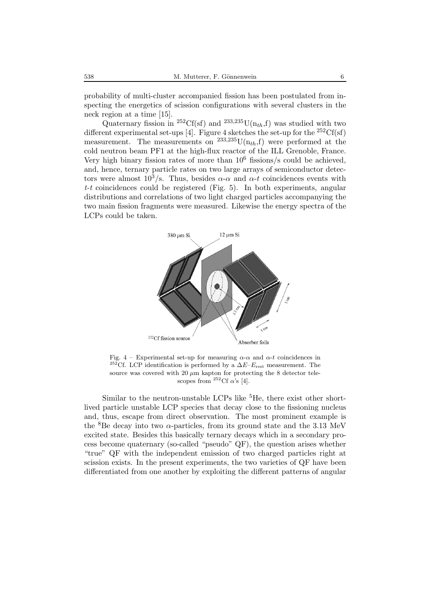probability of multi-cluster accompanied fission has been postulated from inspecting the energetics of scission configurations with several clusters in the neck region at a time [15].

Quaternary fission in <sup>252</sup>Cf(sf) and <sup>233,235</sup>U( $n<sub>th</sub>$ ,f) was studied with two different experimental set-ups [4]. Figure 4 sketches the set-up for the  ${}^{252}Cf(sf)$ measurement. The measurements on  $^{233,235}$ U(n<sub>th</sub>,f) were performed at the cold neutron beam PF1 at the high-flux reactor of the ILL Grenoble, France. Very high binary fission rates of more than  $10^6$  fissions/s could be achieved, and, hence, ternary particle rates on two large arrays of semiconductor detectors were almost  $10^3$ /s. Thus, besides  $\alpha$ - $\alpha$  and  $\alpha$ -t coincidences events with *t-t* coincidences could be registered (Fig. 5). In both experiments, angular distributions and correlations of two light charged particles accompanying the two main fission fragments were measured. Likewise the energy spectra of the LCPs could be taken.



Fig. 4 – Experimental set-up for measuring  $\alpha$ - $\alpha$  and  $\alpha$ -t coincidences in <sup>252</sup>Cf. LCP identification is performed by a  $\Delta E$ – $E_{\text{rest}}$  measurement. The source was covered with 20  $\mu$ m kapton for protecting the 8 detector telescopes from <sup>252</sup>Cf  $\alpha$ 's [4].

Similar to the neutron-unstable LCPs like  ${}^{5}$ He, there exist other shortlived particle unstable LCP species that decay close to the fissioning nucleus and, thus, escape from direct observation. The most prominent example is the <sup>8</sup>Be decay into two  $\alpha$ -particles, from its ground state and the 3.13 MeV excited state. Besides this basically ternary decays which in a secondary process become quaternary (so-called "pseudo" QF), the question arises whether "true" QF with the independent emission of two charged particles right at scission exists. In the present experiments, the two varieties of QF have been differentiated from one another by exploiting the different patterns of angular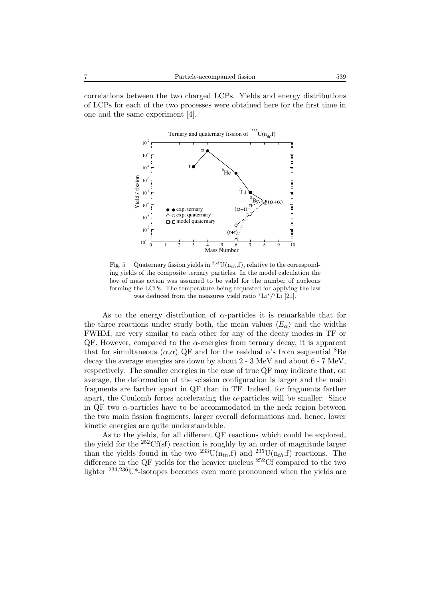correlations between the two charged LCPs. Yields and energy distributions of LCPs for each of the two processes were obtained here for the first time in one and the same experiment [4].



Fig. 5 – Quaternary fission yields in <sup>233</sup>U( $n_{th}$ ,f), relative to the corresponding yields of the composite ternary particles. In the model calculation the law of mass action was assumed to be valid for the number of nucleons forming the LCPs. The temperature being requested for applying the law was deduced from the measures yield ratio  ${}^{7}$ Li ${}^{7}$ Li [21].

As to the energy distribution of  $\alpha$ -particles it is remarkable that for the three reactions under study both, the mean values  $\langle E_{\alpha} \rangle$  and the widths FWHM, are very similar to each other for any of the decay modes in TF or  $QF$ . However, compared to the  $\alpha$ -energies from ternary decay, it is apparent that for simultaneous  $(\alpha, \alpha)$  QF and for the residual  $\alpha$ 's from sequential <sup>8</sup>Be decay the average energies are down by about 2 - 3 MeV and about 6 - 7 MeV, respectively. The smaller energies in the case of true QF may indicate that, on average, the deformation of the scission configuration is larger and the main fragments are farther apart in QF than in TF. Indeed, for fragments farther apart, the Coulomb forces accelerating the  $\alpha$ -particles will be smaller. Since in QF two  $\alpha$ -particles have to be accommodated in the neck region between the two main fission fragments, larger overall deformations and, hence, lower kinetic energies are quite understandable.

As to the yields, for all different QF reactions which could be explored, the yield for the  ${}^{252}Cf(sf)$  reaction is roughly by an order of magnitude larger than the yields found in the two  $^{233}U(n_{th},f)$  and  $^{235}U(n_{th},f)$  reactions. The difference in the QF yields for the heavier nucleus <sup>252</sup>Cf compared to the two lighter <sup>234,236</sup>U<sup>\*</sup>-isotopes becomes even more pronounced when the yields are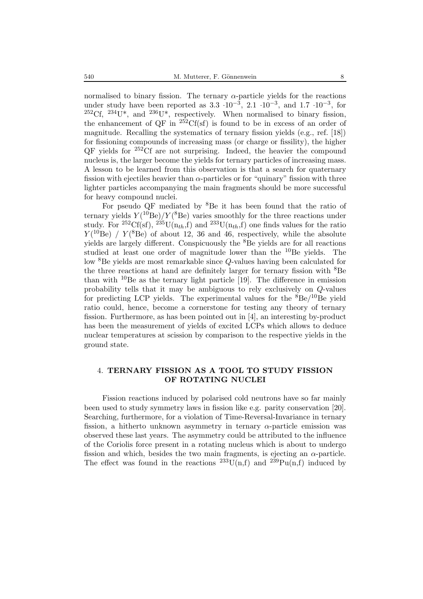normalised to binary fission. The ternary  $\alpha$ -particle yields for the reactions under study have been reported as  $3.3 \cdot 10^{-3}$ ,  $2.1 \cdot 10^{-3}$ , and  $1.7 \cdot 10^{-3}$ , for  $^{252}$ Cf,  $^{234}$ U<sup>\*</sup>, and  $^{236}$ U<sup>\*</sup>, respectively. When normalised to binary fission, the enhancement of QF in  $252Cf(sf)$  is found to be in excess of an order of magnitude. Recalling the systematics of ternary fission yields (e.g., ref. [18]) for fissioning compounds of increasing mass (or charge or fissility), the higher  $QF$  yields for  $252 \text{C}$  are not surprising. Indeed, the heavier the compound nucleus is, the larger become the yields for ternary particles of increasing mass. A lesson to be learned from this observation is that a search for quaternary fission with ejectiles heavier than  $\alpha$ -particles or for "quinary" fission with three lighter particles accompanying the main fragments should be more successful for heavy compound nuclei.

For pseudo QF mediated by <sup>8</sup>Be it has been found that the ratio of ternary yields  $Y(^{10}Be)/Y(^{8}Be)$  varies smoothly for the three reactions under study. For <sup>252</sup>Cf(sf), <sup>235</sup>U( $n_{th}$ ,f) and <sup>233</sup>U( $n_{th}$ ,f) one finds values for the ratio  $Y(^{10}_{\text{Be}})$  /  $Y(^{8}_{\text{Be}})$  of about 12, 36 and 46, respectively, while the absolute yields are largely different. Conspicuously the <sup>8</sup>Be yields are for all reactions studied at least one order of magnitude lower than the  $^{10}$ Be yields. The low <sup>8</sup>Be yields are most remarkable since Q-values having been calculated for the three reactions at hand are definitely larger for ternary fission with  ${}^{8}$ Be than with  $^{10}$ Be as the ternary light particle [19]. The difference in emission probability tells that it may be ambiguous to rely exclusively on Q-values for predicting LCP yields. The experimental values for the  ${}^{8}Be/{}^{10}Be$  yield ratio could, hence, become a cornerstone for testing any theory of ternary fission. Furthermore, as has been pointed out in [4], an interesting by-product has been the measurement of yields of excited LCPs which allows to deduce nuclear temperatures at scission by comparison to the respective yields in the ground state.

## 4. **TERNARY FISSION AS A TOOL TO STUDY FISSION OF ROTATING NUCLEI**

Fission reactions induced by polarised cold neutrons have so far mainly been used to study symmetry laws in fission like e.g. parity conservation [20]. Searching, furthermore, for a violation of Time-Reversal-Invariance in ternary fission, a hitherto unknown asymmetry in ternary  $\alpha$ -particle emission was observed these last years. The asymmetry could be attributed to the influence of the Coriolis force present in a rotating nucleus which is about to undergo fission and which, besides the two main fragments, is ejecting an  $\alpha$ -particle. The effect was found in the reactions  $^{233}U(n,f)$  and  $^{239}Pu(n,f)$  induced by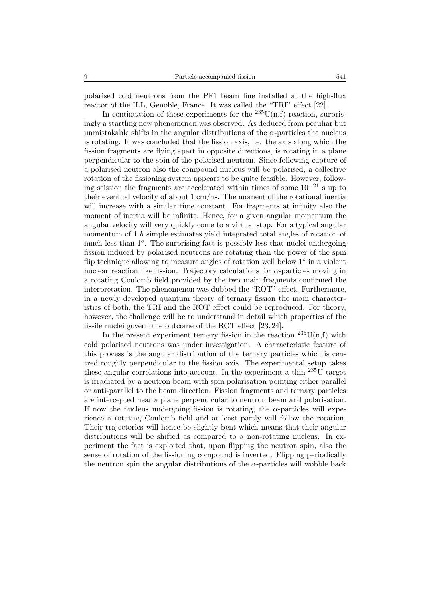polarised cold neutrons from the PF1 beam line installed at the high-flux reactor of the ILL, Genoble, France. It was called the "TRI" effect [22].

In continuation of these experiments for the  $^{235}$ U(n,f) reaction, surprisingly a startling new phenomenon was observed. As deduced from peculiar but unmistakable shifts in the angular distributions of the  $\alpha$ -particles the nucleus is rotating. It was concluded that the fission axis, i.e. the axis along which the fission fragments are flying apart in opposite directions, is rotating in a plane perpendicular to the spin of the polarised neutron. Since following capture of a polarised neutron also the compound nucleus will be polarised, a collective rotation of the fissioning system appears to be quite feasible. However, following scission the fragments are accelerated within times of some  $10^{-21}$  s up to their eventual velocity of about 1 cm/ns. The moment of the rotational inertia will increase with a similar time constant. For fragments at infinity also the moment of inertia will be infinite. Hence, for a given angular momentum the angular velocity will very quickly come to a virtual stop. For a typical angular momentum of 1  $\hbar$  simple estimates yield integrated total angles of rotation of much less than 1◦. The surprising fact is possibly less that nuclei undergoing fission induced by polarised neutrons are rotating than the power of the spin flip technique allowing to measure angles of rotation well below  $1°$  in a violent nuclear reaction like fission. Trajectory calculations for  $\alpha$ -particles moving in a rotating Coulomb field provided by the two main fragments confirmed the interpretation. The phenomenon was dubbed the "ROT" effect. Furthermore, in a newly developed quantum theory of ternary fission the main characteristics of both, the TRI and the ROT effect could be reproduced. For theory, however, the challenge will be to understand in detail which properties of the fissile nuclei govern the outcome of the ROT effect [23, 24].

In the present experiment ternary fission in the reaction  $235U(n,f)$  with cold polarised neutrons was under investigation. A characteristic feature of this process is the angular distribution of the ternary particles which is centred roughly perpendicular to the fission axis. The experimental setup takes these angular correlations into account. In the experiment a thin  $^{235}$ U target is irradiated by a neutron beam with spin polarisation pointing either parallel or anti-parallel to the beam direction. Fission fragments and ternary particles are intercepted near a plane perpendicular to neutron beam and polarisation. If now the nucleus undergoing fission is rotating, the  $\alpha$ -particles will experience a rotating Coulomb field and at least partly will follow the rotation. Their trajectories will hence be slightly bent which means that their angular distributions will be shifted as compared to a non-rotating nucleus. In experiment the fact is exploited that, upon flipping the neutron spin, also the sense of rotation of the fissioning compound is inverted. Flipping periodically the neutron spin the angular distributions of the  $\alpha$ -particles will wobble back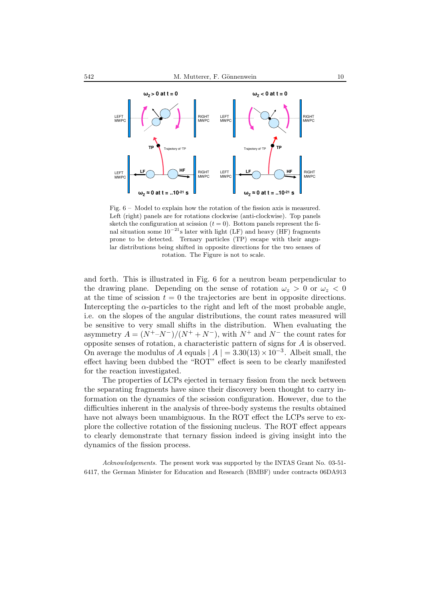

Fig. 6 – Model to explain how the rotation of the fission axis is measured. Left (right) panels are for rotations clockwise (anti-clockwise). Top panels sketch the configuration at scission  $(t = 0)$ . Bottom panels represent the final situation some  $10^{-21}$ s later with light (LF) and heavy (HF) fragments prone to be detected. Ternary particles (TP) escape with their angular distributions being shifted in opposite directions for the two senses of rotation. The Figure is not to scale.

and forth. This is illustrated in Fig. 6 for a neutron beam perpendicular to the drawing plane. Depending on the sense of rotation  $\omega_z > 0$  or  $\omega_z < 0$ at the time of scission  $t = 0$  the trajectories are bent in opposite directions. Intercepting the  $\alpha$ -particles to the right and left of the most probable angle, i.e. on the slopes of the angular distributions, the count rates measured will be sensitive to very small shifts in the distribution. When evaluating the asymmetry  $A = (N^+ - N^-)/(N^+ + N^-)$ , with  $N^+$  and  $N^-$  the count rates for opposite senses of rotation, a characteristic pattern of signs for A is observed. On average the modulus of A equals  $|A| = 3.30(13) \times 10^{-3}$ . Albeit small, the effect having been dubbed the "ROT" effect is seen to be clearly manifested for the reaction investigated.

The properties of LCPs ejected in ternary fission from the neck between the separating fragments have since their discovery been thought to carry information on the dynamics of the scission configuration. However, due to the difficulties inherent in the analysis of three-body systems the results obtained have not always been unambiguous. In the ROT effect the LCPs serve to explore the collective rotation of the fissioning nucleus. The ROT effect appears to clearly demonstrate that ternary fission indeed is giving insight into the dynamics of the fission process.

*Acknowledgements.* The present work was supported by the INTAS Grant No. 03-51- 6417, the German Minister for Education and Research (BMBF) under contracts 06DA913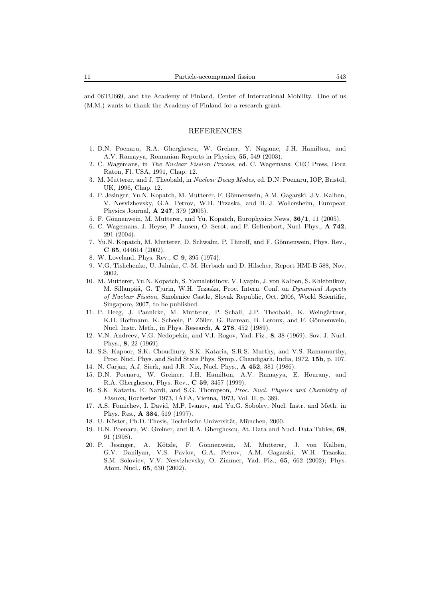and 06TU669, and the Academy of Finland, Center of International Mobility. One of us (M.M.) wants to thank the Academy of Finland for a research grant.

### REFERENCES

- 1. D.N. Poenaru, R.A. Gherghescu, W. Greiner, Y. Nagame, J.H. Hamilton, and A.V. Ramayya, Romanian Reports in Physics, **55**, 549 (2003).
- 2. C. Wagemans, in *The Nuclear Fission Process*, ed. C. Wagemans, CRC Press, Boca Raton, Fl. USA, 1991, Chap. 12.
- 3. M. Mutterer, and J. Theobald, in *Nuclear Decay Modes*, ed. D.N. Poenaru, IOP, Bristol, UK, 1996, Chap. 12.
- 4. P. Jesinger, Yu.N. Kopatch, M. Mutterer, F. Gönnenwein, A.M. Gagarski, J.V. Kalben, V. Nesvizhevsky, G.A. Petrov, W.H. Trzaska, and H.-J. Wollersheim, European Physics Journal, **A 247**, 379 (2005).
- 5. F. Gönnenwein, M. Mutterer, and Yu. Kopatch, Europhysics News,  $36/1$ , 11 (2005).
- 6. C. Wagemans, J. Heyse, P. Jansen, O. Serot, and P. Geltenbort, Nucl. Phys., **A 742**, 291 (2004).
- 7. Yu.N. Kopatch, M. Mutterer, D. Schwalm, P. Thirolf, and F. Gönnenwein, Phys. Rev., **C 65**, 044614 (2002).
- 8. W. Loveland, Phys. Rev., **C 9**, 395 (1974).
- 9. V.G. Tishchenko, U. Jahnke, C.-M. Herbach and D. Hilscher, Report HMI-B 588, Nov. 2002.
- 10. M. Mutterer, Yu.N. Kopatch, S. Yamaletdinov, V. Lyapin, J. von Kalben, S. Khlebnikov, M. Sillanpää, G. Tjurin, W.H. Trzaska, Proc. Intern. Conf. on *Dynamical Aspects of Nuclear Fission*, Smolenice Castle, Slovak Republic, Oct. 2006, World Scientific, Singapore, 2007, to be published.
- 11. P. Heeg, J. Pannicke, M. Mutterer, P. Schall, J.P. Theobald, K. Weingärtner, K.H. Hoffmann, K. Scheele, P. Zöller, G. Barreau, B. Leroux, and F. Gönnenwein, Nucl. Instr. Meth., in Phys. Research, **A 278**, 452 (1989).
- 12. V.N. Andreev, V.G. Nedopekin, and V.I. Rogov, Yad. Fiz., **8**, 38 (1969); Sov. J. Nucl. Phys., **8**, 22 (1969).
- 13. S.S. Kapoor, S.K. Choudhury, S.K. Kataria, S.R.S. Murthy, and V.S. Ramamurthy, Proc. Nucl. Phys. and Solid State Phys. Symp., Chandigarh, India, 1972, **15b**, p. 107.
- 14. N. Carjan, A.J. Sierk, and J.R. Nix, Nucl. Phys., **A 452**, 381 (1986).
- 15. D.N. Poenaru, W. Greiner, J.H. Hamilton, A.V. Ramayya, E. Hourany, and R.A. Gherghescu, Phys. Rev., **C 59**, 3457 (1999).
- 16. S.K. Kataria, E. Nardi, and S.G. Thompson, *Proc. Nucl. Physics and Chemistry of Fission*, Rochester 1973, IAEA, Vienna, 1973, Vol. II, p. 389.
- 17. A.S. Fomichev, I. David, M.P. Ivanov, and Yu.G. Sobolev, Nucl. Instr. and Meth. in Phys. Res., **A 384**, 519 (1997).
- 18. U. Köster, Ph.D. Thesis, Technische Universität, München, 2000.
- 19. D.N. Poenaru, W. Greiner, and R.A. Gherghescu, At. Data and Nucl. Data Tables, **68**, 91 (1998).
- 20. P. Jesinger, A. K¨otzle, F. G¨onnenwein, M. Mutterer, J. von Kalben, G.V. Danilyan, V.S. Pavlov, G.A. Petrov, A.M. Gagarski, W.H. Trzaska, S.M. Soloviev, V.V. Nesvizhevsky, O. Zimmer, Yad. Fiz., **65**, 662 (2002); Phys. Atom. Nucl., **65**, 630 (2002).